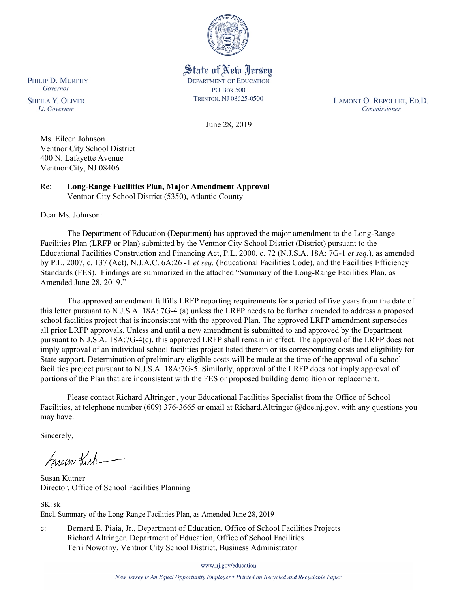

State of New Jersey **DEPARTMENT OF EDUCATION PO Box 500** TRENTON, NJ 08625-0500

LAMONT O. REPOLLET, ED.D. Commissioner

June 28, 2019

Ms. Eileen Johnson Ventnor City School District 400 N. Lafayette Avenue Ventnor City, NJ 08406

Re: **Long-Range Facilities Plan, Major Amendment Approval** Ventnor City School District (5350), Atlantic County

Dear Ms. Johnson:

The Department of Education (Department) has approved the major amendment to the Long-Range Facilities Plan (LRFP or Plan) submitted by the Ventnor City School District (District) pursuant to the Educational Facilities Construction and Financing Act, P.L. 2000, c. 72 (N.J.S.A. 18A: 7G-1 *et seq.*), as amended by P.L. 2007, c. 137 (Act), N.J.A.C. 6A:26 -1 *et seq.* (Educational Facilities Code), and the Facilities Efficiency Standards (FES). Findings are summarized in the attached "Summary of the Long-Range Facilities Plan, as Amended June 28, 2019."

The approved amendment fulfills LRFP reporting requirements for a period of five years from the date of this letter pursuant to N.J.S.A. 18A: 7G-4 (a) unless the LRFP needs to be further amended to address a proposed school facilities project that is inconsistent with the approved Plan. The approved LRFP amendment supersedes all prior LRFP approvals. Unless and until a new amendment is submitted to and approved by the Department pursuant to N.J.S.A. 18A:7G-4(c), this approved LRFP shall remain in effect. The approval of the LRFP does not imply approval of an individual school facilities project listed therein or its corresponding costs and eligibility for State support. Determination of preliminary eligible costs will be made at the time of the approval of a school facilities project pursuant to N.J.S.A. 18A:7G-5. Similarly, approval of the LRFP does not imply approval of portions of the Plan that are inconsistent with the FES or proposed building demolition or replacement.

Please contact Richard Altringer , your Educational Facilities Specialist from the Office of School Facilities, at telephone number (609) 376-3665 or email at Richard.Altringer @doe.nj.gov, with any questions you may have.

Sincerely,

Suson Kich

Susan Kutner Director, Office of School Facilities Planning

 $SK \cdot sk$ Encl. Summary of the Long-Range Facilities Plan, as Amended June 28, 2019

c: Bernard E. Piaia, Jr., Department of Education, Office of School Facilities Projects Richard Altringer, Department of Education, Office of School Facilities Terri Nowotny, Ventnor City School District, Business Administrator

www.nj.gov/education

New Jersey Is An Equal Opportunity Employer . Printed on Recycled and Recyclable Paper

PHILIP D. MURPHY Governor

**SHEILA Y. OLIVER** Lt. Governor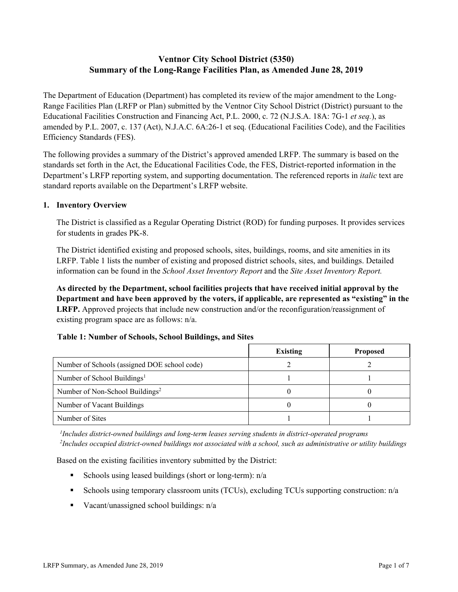# **Ventnor City School District (5350) Summary of the Long-Range Facilities Plan, as Amended June 28, 2019**

The Department of Education (Department) has completed its review of the major amendment to the Long-Range Facilities Plan (LRFP or Plan) submitted by the Ventnor City School District (District) pursuant to the Educational Facilities Construction and Financing Act, P.L. 2000, c. 72 (N.J.S.A. 18A: 7G-1 *et seq.*), as amended by P.L. 2007, c. 137 (Act), N.J.A.C. 6A:26-1 et seq. (Educational Facilities Code), and the Facilities Efficiency Standards (FES).

The following provides a summary of the District's approved amended LRFP. The summary is based on the standards set forth in the Act, the Educational Facilities Code, the FES, District-reported information in the Department's LRFP reporting system, and supporting documentation. The referenced reports in *italic* text are standard reports available on the Department's LRFP website.

#### **1. Inventory Overview**

The District is classified as a Regular Operating District (ROD) for funding purposes. It provides services for students in grades PK-8.

The District identified existing and proposed schools, sites, buildings, rooms, and site amenities in its LRFP. Table 1 lists the number of existing and proposed district schools, sites, and buildings. Detailed information can be found in the *School Asset Inventory Report* and the *Site Asset Inventory Report.*

**As directed by the Department, school facilities projects that have received initial approval by the Department and have been approved by the voters, if applicable, are represented as "existing" in the LRFP.** Approved projects that include new construction and/or the reconfiguration/reassignment of existing program space are as follows: n/a.

## **Table 1: Number of Schools, School Buildings, and Sites**

|                                              | <b>Existing</b> | <b>Proposed</b> |
|----------------------------------------------|-----------------|-----------------|
| Number of Schools (assigned DOE school code) |                 |                 |
| Number of School Buildings <sup>1</sup>      |                 |                 |
| Number of Non-School Buildings <sup>2</sup>  |                 |                 |
| Number of Vacant Buildings                   |                 |                 |
| Number of Sites                              |                 |                 |

*1 Includes district-owned buildings and long-term leases serving students in district-operated programs 2 Includes occupied district-owned buildings not associated with a school, such as administrative or utility buildings*

Based on the existing facilities inventory submitted by the District:

- Schools using leased buildings (short or long-term):  $n/a$
- Schools using temporary classroom units (TCUs), excluding TCUs supporting construction: n/a
- Vacant/unassigned school buildings:  $n/a$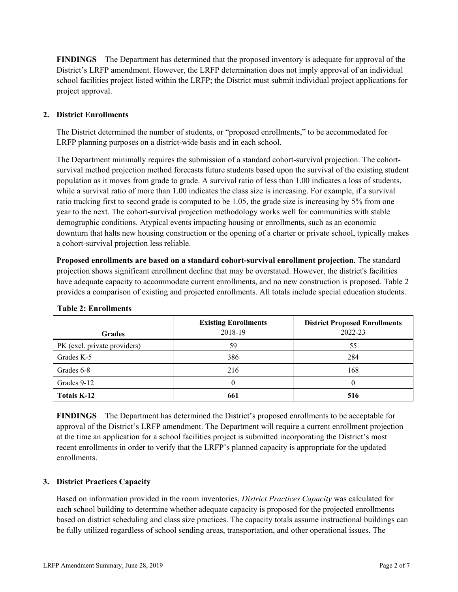**FINDINGS** The Department has determined that the proposed inventory is adequate for approval of the District's LRFP amendment. However, the LRFP determination does not imply approval of an individual school facilities project listed within the LRFP; the District must submit individual project applications for project approval.

#### **2. District Enrollments**

The District determined the number of students, or "proposed enrollments," to be accommodated for LRFP planning purposes on a district-wide basis and in each school.

The Department minimally requires the submission of a standard cohort-survival projection. The cohortsurvival method projection method forecasts future students based upon the survival of the existing student population as it moves from grade to grade. A survival ratio of less than 1.00 indicates a loss of students, while a survival ratio of more than 1.00 indicates the class size is increasing. For example, if a survival ratio tracking first to second grade is computed to be 1.05, the grade size is increasing by 5% from one year to the next. The cohort-survival projection methodology works well for communities with stable demographic conditions. Atypical events impacting housing or enrollments, such as an economic downturn that halts new housing construction or the opening of a charter or private school, typically makes a cohort-survival projection less reliable.

**Proposed enrollments are based on a standard cohort-survival enrollment projection.** The standard projection shows significant enrollment decline that may be overstated. However, the district's facilities have adequate capacity to accommodate current enrollments, and no new construction is proposed. Table 2 provides a comparison of existing and projected enrollments. All totals include special education students.

| <b>Grades</b>                | <b>Existing Enrollments</b><br>2018-19 | <b>District Proposed Enrollments</b><br>2022-23 |
|------------------------------|----------------------------------------|-------------------------------------------------|
| PK (excl. private providers) | 59                                     | 55                                              |
| Grades K-5                   | 386                                    | 284                                             |
| Grades 6-8                   | 216                                    | 168                                             |
| Grades 9-12                  |                                        |                                                 |
| <b>Totals K-12</b>           | 661                                    | 516                                             |

|  |  | <b>Table 2: Enrollments</b> |
|--|--|-----------------------------|
|--|--|-----------------------------|

**FINDINGS** The Department has determined the District's proposed enrollments to be acceptable for approval of the District's LRFP amendment. The Department will require a current enrollment projection at the time an application for a school facilities project is submitted incorporating the District's most recent enrollments in order to verify that the LRFP's planned capacity is appropriate for the updated enrollments.

## **3. District Practices Capacity**

Based on information provided in the room inventories, *District Practices Capacity* was calculated for each school building to determine whether adequate capacity is proposed for the projected enrollments based on district scheduling and class size practices. The capacity totals assume instructional buildings can be fully utilized regardless of school sending areas, transportation, and other operational issues. The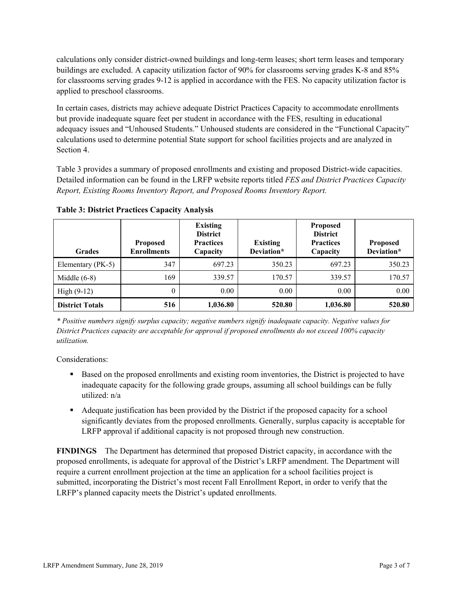calculations only consider district-owned buildings and long-term leases; short term leases and temporary buildings are excluded. A capacity utilization factor of 90% for classrooms serving grades K-8 and 85% for classrooms serving grades 9-12 is applied in accordance with the FES. No capacity utilization factor is applied to preschool classrooms.

In certain cases, districts may achieve adequate District Practices Capacity to accommodate enrollments but provide inadequate square feet per student in accordance with the FES, resulting in educational adequacy issues and "Unhoused Students." Unhoused students are considered in the "Functional Capacity" calculations used to determine potential State support for school facilities projects and are analyzed in Section 4.

Table 3 provides a summary of proposed enrollments and existing and proposed District-wide capacities. Detailed information can be found in the LRFP website reports titled *FES and District Practices Capacity Report, Existing Rooms Inventory Report, and Proposed Rooms Inventory Report.*

| <b>Grades</b>          | <b>Proposed</b><br><b>Enrollments</b> | <b>Existing</b><br><b>District</b><br><b>Practices</b><br>Capacity | <b>Existing</b><br>Deviation* | <b>Proposed</b><br><b>District</b><br><b>Practices</b><br>Capacity | <b>Proposed</b><br>Deviation* |
|------------------------|---------------------------------------|--------------------------------------------------------------------|-------------------------------|--------------------------------------------------------------------|-------------------------------|
| Elementary (PK-5)      | 347                                   | 697.23                                                             | 350.23                        | 697.23                                                             | 350.23                        |
| Middle $(6-8)$         | 169                                   | 339.57                                                             | 170.57                        | 339.57                                                             | 170.57                        |
| High $(9-12)$          | $\theta$                              | 0.00                                                               | 0.00                          | 0.00                                                               | 0.00                          |
| <b>District Totals</b> | 516                                   | 1,036.80                                                           | 520.80                        | 1,036.80                                                           | 520.80                        |

**Table 3: District Practices Capacity Analysis**

*\* Positive numbers signify surplus capacity; negative numbers signify inadequate capacity. Negative values for District Practices capacity are acceptable for approval if proposed enrollments do not exceed 100% capacity utilization.*

Considerations:

- Based on the proposed enrollments and existing room inventories, the District is projected to have inadequate capacity for the following grade groups, assuming all school buildings can be fully utilized: n/a
- Adequate justification has been provided by the District if the proposed capacity for a school significantly deviates from the proposed enrollments. Generally, surplus capacity is acceptable for LRFP approval if additional capacity is not proposed through new construction.

**FINDINGS**The Department has determined that proposed District capacity, in accordance with the proposed enrollments, is adequate for approval of the District's LRFP amendment. The Department will require a current enrollment projection at the time an application for a school facilities project is submitted, incorporating the District's most recent Fall Enrollment Report, in order to verify that the LRFP's planned capacity meets the District's updated enrollments.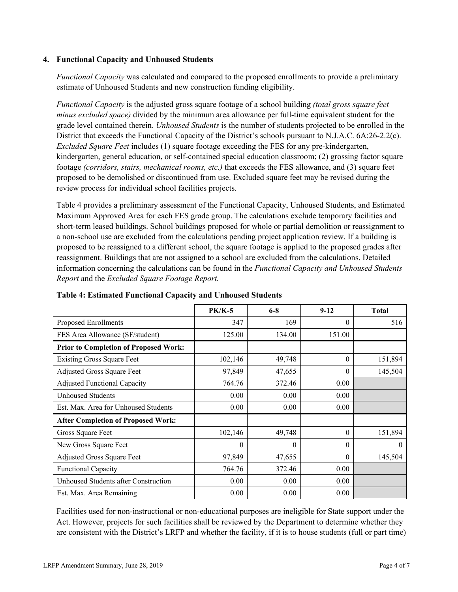#### **4. Functional Capacity and Unhoused Students**

*Functional Capacity* was calculated and compared to the proposed enrollments to provide a preliminary estimate of Unhoused Students and new construction funding eligibility.

*Functional Capacity* is the adjusted gross square footage of a school building *(total gross square feet minus excluded space)* divided by the minimum area allowance per full-time equivalent student for the grade level contained therein. *Unhoused Students* is the number of students projected to be enrolled in the District that exceeds the Functional Capacity of the District's schools pursuant to N.J.A.C. 6A:26-2.2(c). *Excluded Square Feet* includes (1) square footage exceeding the FES for any pre-kindergarten, kindergarten, general education, or self-contained special education classroom; (2) grossing factor square footage *(corridors, stairs, mechanical rooms, etc.)* that exceeds the FES allowance, and (3) square feet proposed to be demolished or discontinued from use. Excluded square feet may be revised during the review process for individual school facilities projects.

Table 4 provides a preliminary assessment of the Functional Capacity, Unhoused Students, and Estimated Maximum Approved Area for each FES grade group. The calculations exclude temporary facilities and short-term leased buildings. School buildings proposed for whole or partial demolition or reassignment to a non-school use are excluded from the calculations pending project application review. If a building is proposed to be reassigned to a different school, the square footage is applied to the proposed grades after reassignment. Buildings that are not assigned to a school are excluded from the calculations. Detailed information concerning the calculations can be found in the *Functional Capacity and Unhoused Students Report* and the *Excluded Square Footage Report.*

|                                              | <b>PK/K-5</b> | $6-8$    | $9-12$   | <b>Total</b> |
|----------------------------------------------|---------------|----------|----------|--------------|
| Proposed Enrollments                         | 347           | 169      | $\theta$ | 516          |
| FES Area Allowance (SF/student)              | 125.00        | 134.00   | 151.00   |              |
| <b>Prior to Completion of Proposed Work:</b> |               |          |          |              |
| <b>Existing Gross Square Feet</b>            | 102,146       | 49,748   | $\theta$ | 151,894      |
| Adjusted Gross Square Feet                   | 97,849        | 47,655   | $\theta$ | 145,504      |
| <b>Adjusted Functional Capacity</b>          | 764.76        | 372.46   | 0.00     |              |
| <b>Unhoused Students</b>                     | 0.00          | 0.00     | 0.00     |              |
| Est. Max. Area for Unhoused Students         | 0.00          | 0.00     | 0.00     |              |
| <b>After Completion of Proposed Work:</b>    |               |          |          |              |
| Gross Square Feet                            | 102,146       | 49,748   | $\theta$ | 151,894      |
| New Gross Square Feet                        | $\Omega$      | $\Omega$ | $\theta$ | 0            |
| Adjusted Gross Square Feet                   | 97,849        | 47,655   | $\theta$ | 145,504      |
| <b>Functional Capacity</b>                   | 764.76        | 372.46   | 0.00     |              |
| Unhoused Students after Construction         | 0.00          | 0.00     | 0.00     |              |
| Est. Max. Area Remaining                     | 0.00          | 0.00     | 0.00     |              |

**Table 4: Estimated Functional Capacity and Unhoused Students** 

Facilities used for non-instructional or non-educational purposes are ineligible for State support under the Act. However, projects for such facilities shall be reviewed by the Department to determine whether they are consistent with the District's LRFP and whether the facility, if it is to house students (full or part time)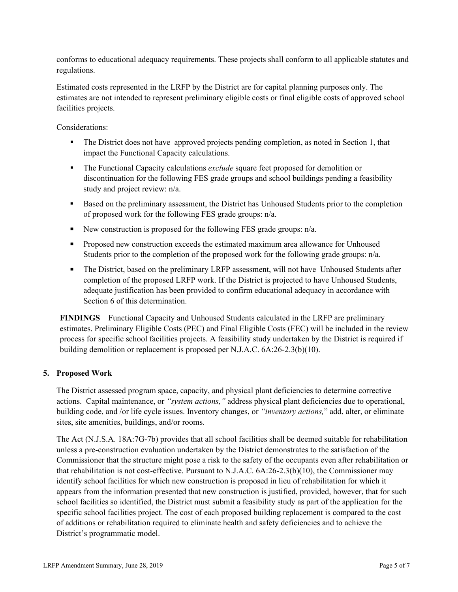conforms to educational adequacy requirements. These projects shall conform to all applicable statutes and regulations.

Estimated costs represented in the LRFP by the District are for capital planning purposes only. The estimates are not intended to represent preliminary eligible costs or final eligible costs of approved school facilities projects.

Considerations:

- The District does not have approved projects pending completion, as noted in Section 1, that impact the Functional Capacity calculations.
- **The Functional Capacity calculations** *exclude* square feet proposed for demolition or discontinuation for the following FES grade groups and school buildings pending a feasibility study and project review: n/a.
- Based on the preliminary assessment, the District has Unhoused Students prior to the completion of proposed work for the following FES grade groups: n/a.
- New construction is proposed for the following FES grade groups:  $n/a$ .
- **Proposed new construction exceeds the estimated maximum area allowance for Unhoused** Students prior to the completion of the proposed work for the following grade groups: n/a.
- The District, based on the preliminary LRFP assessment, will not have Unhoused Students after completion of the proposed LRFP work. If the District is projected to have Unhoused Students, adequate justification has been provided to confirm educational adequacy in accordance with Section 6 of this determination.

**FINDINGS** Functional Capacity and Unhoused Students calculated in the LRFP are preliminary estimates. Preliminary Eligible Costs (PEC) and Final Eligible Costs (FEC) will be included in the review process for specific school facilities projects. A feasibility study undertaken by the District is required if building demolition or replacement is proposed per N.J.A.C. 6A:26-2.3(b)(10).

## **5. Proposed Work**

The District assessed program space, capacity, and physical plant deficiencies to determine corrective actions. Capital maintenance, or *"system actions,"* address physical plant deficiencies due to operational, building code, and /or life cycle issues. Inventory changes, or *"inventory actions,*" add, alter, or eliminate sites, site amenities, buildings, and/or rooms.

The Act (N.J.S.A. 18A:7G-7b) provides that all school facilities shall be deemed suitable for rehabilitation unless a pre-construction evaluation undertaken by the District demonstrates to the satisfaction of the Commissioner that the structure might pose a risk to the safety of the occupants even after rehabilitation or that rehabilitation is not cost-effective. Pursuant to N.J.A.C. 6A:26-2.3(b)(10), the Commissioner may identify school facilities for which new construction is proposed in lieu of rehabilitation for which it appears from the information presented that new construction is justified, provided, however, that for such school facilities so identified, the District must submit a feasibility study as part of the application for the specific school facilities project. The cost of each proposed building replacement is compared to the cost of additions or rehabilitation required to eliminate health and safety deficiencies and to achieve the District's programmatic model.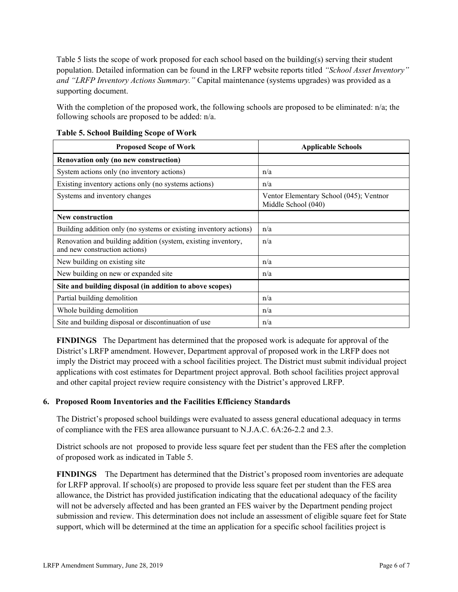Table 5 lists the scope of work proposed for each school based on the building(s) serving their student population. Detailed information can be found in the LRFP website reports titled *"School Asset Inventory" and "LRFP Inventory Actions Summary."* Capital maintenance (systems upgrades) was provided as a supporting document.

With the completion of the proposed work, the following schools are proposed to be eliminated: n/a; the following schools are proposed to be added: n/a.

| <b>Proposed Scope of Work</b>                                                                  | <b>Applicable Schools</b>                                      |
|------------------------------------------------------------------------------------------------|----------------------------------------------------------------|
| Renovation only (no new construction)                                                          |                                                                |
| System actions only (no inventory actions)                                                     | n/a                                                            |
| Existing inventory actions only (no systems actions)                                           | n/a                                                            |
| Systems and inventory changes                                                                  | Ventor Elementary School (045); Ventnor<br>Middle School (040) |
| <b>New construction</b>                                                                        |                                                                |
| Building addition only (no systems or existing inventory actions)                              | n/a                                                            |
| Renovation and building addition (system, existing inventory,<br>and new construction actions) | n/a                                                            |
| New building on existing site                                                                  | n/a                                                            |
| New building on new or expanded site                                                           | n/a                                                            |
| Site and building disposal (in addition to above scopes)                                       |                                                                |
| Partial building demolition                                                                    | n/a                                                            |
| Whole building demolition                                                                      | n/a                                                            |
| Site and building disposal or discontinuation of use                                           | n/a                                                            |

**Table 5. School Building Scope of Work**

**FINDINGS** The Department has determined that the proposed work is adequate for approval of the District's LRFP amendment. However, Department approval of proposed work in the LRFP does not imply the District may proceed with a school facilities project. The District must submit individual project applications with cost estimates for Department project approval. Both school facilities project approval and other capital project review require consistency with the District's approved LRFP.

## **6. Proposed Room Inventories and the Facilities Efficiency Standards**

The District's proposed school buildings were evaluated to assess general educational adequacy in terms of compliance with the FES area allowance pursuant to N.J.A.C. 6A:26-2.2 and 2.3.

District schools are not proposed to provide less square feet per student than the FES after the completion of proposed work as indicated in Table 5.

**FINDINGS** The Department has determined that the District's proposed room inventories are adequate for LRFP approval. If school(s) are proposed to provide less square feet per student than the FES area allowance, the District has provided justification indicating that the educational adequacy of the facility will not be adversely affected and has been granted an FES waiver by the Department pending project submission and review. This determination does not include an assessment of eligible square feet for State support, which will be determined at the time an application for a specific school facilities project is